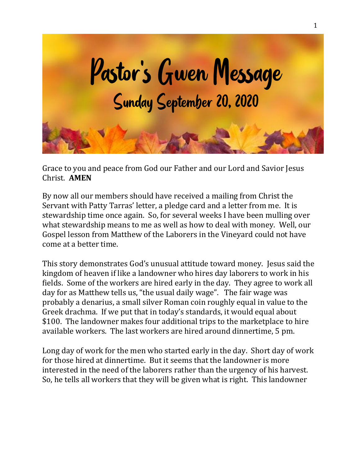

Grace to you and peace from God our Father and our Lord and Savior Jesus Christ. **AMEN**

By now all our members should have received a mailing from Christ the Servant with Patty Tarras' letter, a pledge card and a letter from me. It is stewardship time once again. So, for several weeks I have been mulling over what stewardship means to me as well as how to deal with money. Well, our Gospel lesson from Matthew of the Laborers in the Vineyard could not have come at a better time.

This story demonstrates God's unusual attitude toward money. Jesus said the kingdom of heaven if like a landowner who hires day laborers to work in his fields. Some of the workers are hired early in the day. They agree to work all day for as Matthew tells us, "the usual daily wage". The fair wage was probably a denarius, a small silver Roman coin roughly equal in value to the Greek drachma. If we put that in today's standards, it would equal about \$100. The landowner makes four additional trips to the marketplace to hire available workers. The last workers are hired around dinnertime, 5 pm.

Long day of work for the men who started early in the day. Short day of work for those hired at dinnertime. But it seems that the landowner is more interested in the need of the laborers rather than the urgency of his harvest. So, he tells all workers that they will be given what is right. This landowner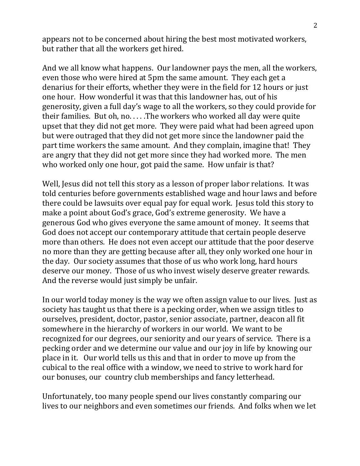appears not to be concerned about hiring the best most motivated workers, but rather that all the workers get hired.

And we all know what happens. Our landowner pays the men, all the workers, even those who were hired at 5pm the same amount. They each get a denarius for their efforts, whether they were in the field for 12 hours or just one hour. How wonderful it was that this landowner has, out of his generosity, given a full day's wage to all the workers, so they could provide for their families. But oh, no. . . . .The workers who worked all day were quite upset that they did not get more. They were paid what had been agreed upon but were outraged that they did not get more since the landowner paid the part time workers the same amount. And they complain, imagine that! They are angry that they did not get more since they had worked more. The men who worked only one hour, got paid the same. How unfair is that?

Well, Jesus did not tell this story as a lesson of proper labor relations. It was told centuries before governments established wage and hour laws and before there could be lawsuits over equal pay for equal work. Jesus told this story to make a point about God's grace, God's extreme generosity. We have a generous God who gives everyone the same amount of money. It seems that God does not accept our contemporary attitude that certain people deserve more than others. He does not even accept our attitude that the poor deserve no more than they are getting because after all, they only worked one hour in the day. Our society assumes that those of us who work long, hard hours deserve our money. Those of us who invest wisely deserve greater rewards. And the reverse would just simply be unfair.

In our world today money is the way we often assign value to our lives. Just as society has taught us that there is a pecking order, when we assign titles to ourselves, president, doctor, pastor, senior associate, partner, deacon all fit somewhere in the hierarchy of workers in our world. We want to be recognized for our degrees, our seniority and our years of service. There is a pecking order and we determine our value and our joy in life by knowing our place in it. Our world tells us this and that in order to move up from the cubical to the real office with a window, we need to strive to work hard for our bonuses, our country club memberships and fancy letterhead.

Unfortunately, too many people spend our lives constantly comparing our lives to our neighbors and even sometimes our friends. And folks when we let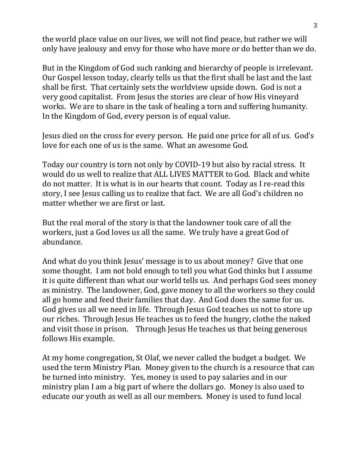the world place value on our lives, we will not find peace, but rather we will only have jealousy and envy for those who have more or do better than we do.

But in the Kingdom of God such ranking and hierarchy of people is irrelevant. Our Gospel lesson today, clearly tells us that the first shall be last and the last shall be first. That certainly sets the worldview upside down. God is not a very good capitalist. From Jesus the stories are clear of how His vineyard works. We are to share in the task of healing a torn and suffering humanity. In the Kingdom of God, every person is of equal value.

Jesus died on the cross for every person. He paid one price for all of us. God's love for each one of us is the same. What an awesome God.

Today our country is torn not only by COVID-19 but also by racial stress. It would do us well to realize that ALL LIVES MATTER to God. Black and white do not matter. It is what is in our hearts that count. Today as I re-read this story, I see Jesus calling us to realize that fact. We are all God's children no matter whether we are first or last.

But the real moral of the story is that the landowner took care of all the workers, just a God loves us all the same. We truly have a great God of abundance.

And what do you think Jesus' message is to us about money? Give that one some thought. I am not bold enough to tell you what God thinks but I assume it is quite different than what our world tells us. And perhaps God sees money as ministry. The landowner, God, gave money to all the workers so they could all go home and feed their families that day. And God does the same for us. God gives us all we need in life. Through Jesus God teaches us not to store up our riches. Through Jesus He teaches us to feed the hungry, clothe the naked and visit those in prison. Through Jesus He teaches us that being generous follows His example.

At my home congregation, St Olaf, we never called the budget a budget. We used the term Ministry Plan. Money given to the church is a resource that can be turned into ministry. Yes, money is used to pay salaries and in our ministry plan I am a big part of where the dollars go. Money is also used to educate our youth as well as all our members. Money is used to fund local